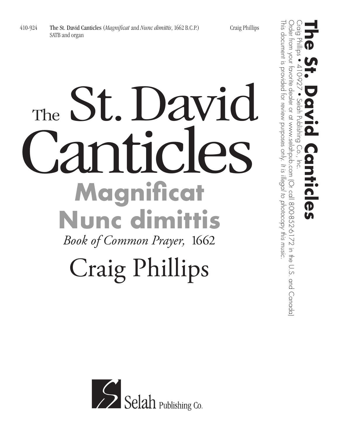## The St. David The St. D'AVIO **Magnificat Nunc dimittis** *Book of Common Prayer,* 1662

## Craig Phillips



This document is provided for review purposes only.

This document is provided for review purposes only. It is illegal to photocopy this music.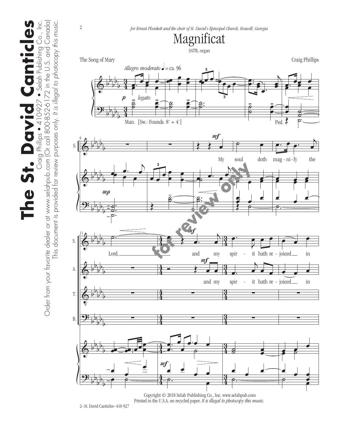The St. David Canticles **The St. David Canticles** Craig Phillips • 410-927 • Selah Publishing Co., Inc. Phillips Craig F

s • 410-927 • Selah Publishing Co., Inc.<br>800-852-6172 in the U.S. and Canada) Order from your favorite dealer or at www.selahpub.com (Or call 800-852-6172 in the U.S. and Canada) This document is provided for review purposes only. It is illegal to photocopy this music. This document is provided for review purposes only. *It is illegal to photocopy this music.*  $\overline{a}$  $\overline{O}$ Order from your favorite dealer or at www.selahpub.com (

2

*for Ernest Plunkett and the choir of St. David's Episcopal Church, Roswell, Georgia*



 Copyright © 2018 Selah Publishing Co., Inc. www.selahpub.com Printed in the U.S.A. on recycled paper. *It is illegal to photocopy this music.* 

2–St. David Canticles–410-927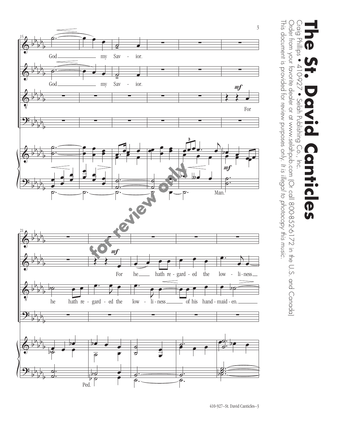

This document is provided for review purposes only.

This document is provided for review purposes only. It is illegal to photocopy this music.

Order from your favorite dealer or at www.selahpub.com (Or call 800-852-6172 in the U.S. and Canada)

Order from your favorite dealer or at www.selahpub.com (Or call 800-852-6172 in the U.S. and Canada)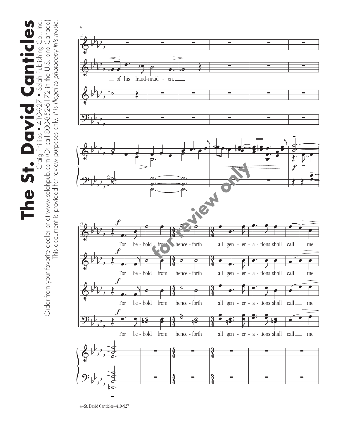The St. David Canticles Craig Phillips ● 410-927 ● Selah Publishing Co., Inc.<br>Order from your favorite dealer or at www.selahpub.com (Or call 800-852-6172 in the U.S. and Canada) Order from your favorite dealer or at www.selahpub.com (Or call 800-852-6172 in the U.S. and Canada) **The St. David Canticles** Craig Phillips • 410-927 • Selah Publishing Co., Inc.

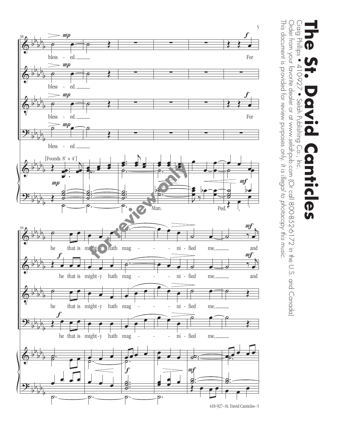

#### Craig<br>- Graig Craig Phillips • 410-927 • Selah Publishing Co., Inc. **The St. David Canticles** Phillips 410-927  $\bullet$ Selah Publishing Co.,  $\overline{5}$ ticles

This document is provided for review purposes only.

This document is provided for review purposes only. It is illegal to photocopy this music.

Order from your favorite dealer or at www.selahpub.com (Or call 800-852-6172 in the U.S. and Canada)

Order from your favorite dealer or at www.selahpub.com (Or call 800-852-6172 in the U.S. and Canada)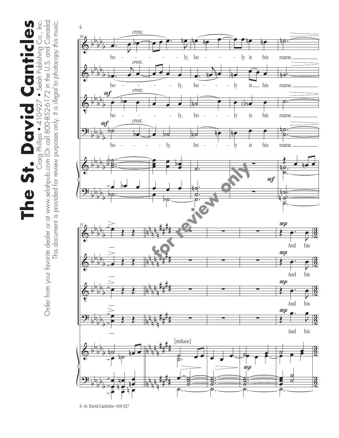The St. David Canticles **The St. David Canticles** Craig Phillips • 410-927 • Selah Publishing Co., Inc.

Craig Phillips ● 410-927 ● Selah Publishing Co., Inc.<br>Order from your favorite dealer or at www.selahpub.com (Or call 800-852-6172 in the U.S. and Canada) Order from your favorite dealer or at www.selahpub.com (Or call 800-852-6172 in the U.S. and Canada) This document is provided for review purposes only. It is illegal to photocopy this music. This document is provided for review purposes only. *It is illegal to photocopy this music.*



6–St. David Canticles–410-927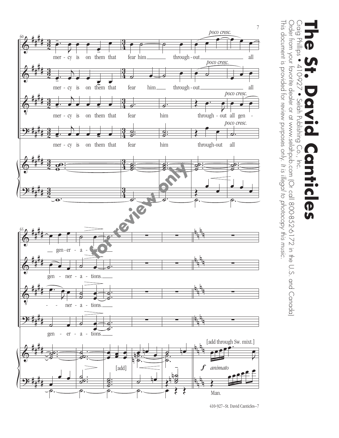

<sup>410-927–</sup>St. David Canticles–7

#### $\sum_{i=1}^{n}$ Craig Phillips • 410-927 • Selah Publishing Co., Inc. **The St. David Canticles** Phillips  $\bullet$ 410-927  $\bullet$ Selah Publishing Co.,  $\overline{5}$ **Ficles**

This document is provided for review purposes only.

This document is provided for review purposes only. It is illegal to photocopy this music.

Order from your favorite dealer or at www.selahpub.com (Or call 800-852-6172 in the U.S. and Canada)

Order from your favorite dealer or at www.selahpub.com (Or call 800-852-6172 in the U.S. and Canada)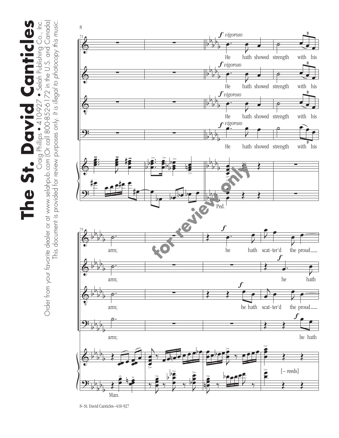The St. David Canticles Craig Phillips ● 410-927 ● Selah Publishing Co., Inc.<br>Order from your favorite dealer or at www.selahpub.com (Or call 800-852-6172 in the U.S. and Canada) Order from your favorite dealer or at www.selahpub.com (Or call 800-852-6172 in the U.S. and Canada) **The St. David Canticles** Craig Phillips • 410-927 • Selah Publishing Co., Inc. This document is provided for review purposes only. It is illegal to photocopy this music. This document is provided for review purposes only. *It is illegal to photocopy this music.*



<sup>8–</sup>St. David Canticles–410-927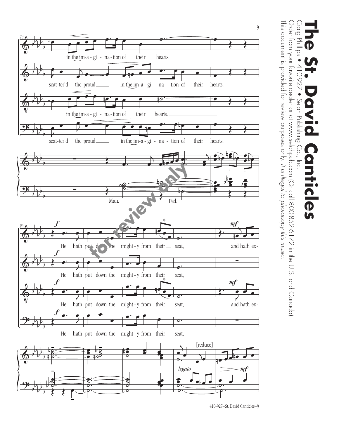

 $\sum_{i=1}^{n}$ Order from your favorite dealer or at www.selahpub.com (Or call 800-852-6172 in the U.S. and Canada) Order from your favorite dealer or at www.selahpub.com (Or call 800-852-6172 in the U.S. and Canada) Craig Phillips • 410-927 • Selah Publishing Co., Inc. **The St. David Canticles** Phillips 10-927  $\bullet$ Selah Publishing  $Co.$  $\overline{5}$ **Hicles** 

This document is provided for review purposes only.

This document is provided for review purposes only. It is illegal to photocopy this music.

*It is illegal to photocopy this music.*

410-927–St. David Canticles–9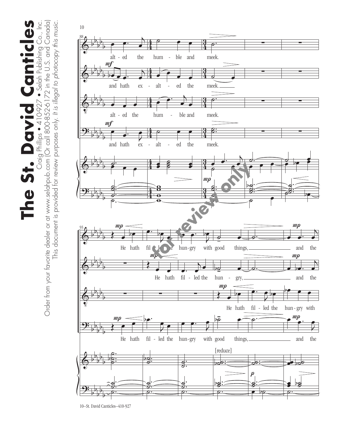Canticles Craig Phillips ● 410-927 ● Selah Publishing Co., Inc.<br>Order from your favorite dealer or at www.selahpub.com (Or call 800-852-6172 in the U.S. and Canada) Order from your favorite dealer or at www.selahpub.com (Or call 800-852-6172 in the U.S. and Canada) **The St. David Canticles** Craig Phillips • 410-927 • Selah Publishing Co., Inc. This document is provided for review purposes only. It is illegal to photocopy this music. This document is provided for review purposes only. *It is illegal to photocopy this music.* The St. David



<sup>10–</sup>St. David Canticles–410-927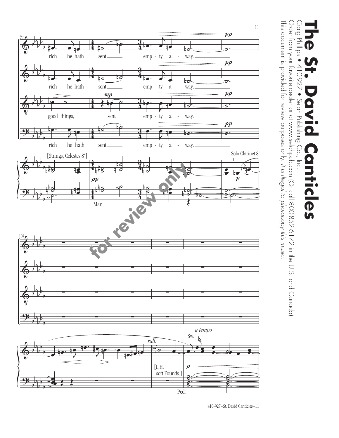

This document is provided for review purposes only.

This document is provided for review purposes only. It is illegal to photocopy this music.

Order from your favorite dealer or at www.selahpub.com (Or call 800-852-6172 in the U.S. and Canada)

Order from your favorite dealer or at www.selahpub.com (Or call 800-852-6172 in the U.S. and Canada)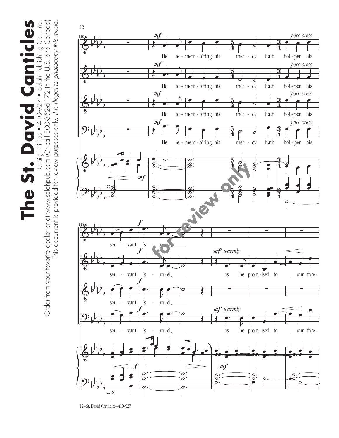Canticles Craig Phillips ● 410-927 ● Selah Publishing Co., Inc.<br>Order from your favorite dealer or at www.selahpub.com (Or call 800-852-6172 in the U.S. and Canada) Order from your favorite dealer or at www.selahpub.com (Or call 800-852-6172 in the U.S. and Canada) **The St. David Canticles** Craig Phillips • 410-927 • Selah Publishing Co., Inc. This document is provided for review purposes only. It is illegal to photocopy this music. This document is provided for review purposes only. *It is illegal to photocopy this music.* The St. David



<sup>12–</sup>St. David Canticles–410-927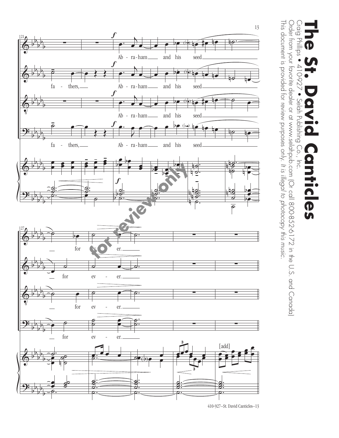

<sup>410-927–</sup>St. David Canticles–13

### Craig Phillips<br>Craig Phillips Craig Phillips • 410-927 • Selah Publishing Co., Inc. **The St. David Canticles**  $\bullet$ 410-927  $\bullet$ Selah Publishing Co.,  $\overline{5}$ **Hicles**

This document is provided for review purposes only.

This document is provided for review purposes only. It is illegal to photocopy this music.

Order from your favorite dealer or at www.selahpub.com (Or call 800-852-6172 in the U.S. and Canada)

Order from your favorite dealer or at www.selahpub.com (Or call 800-852-6172 in the U.S. and Canada)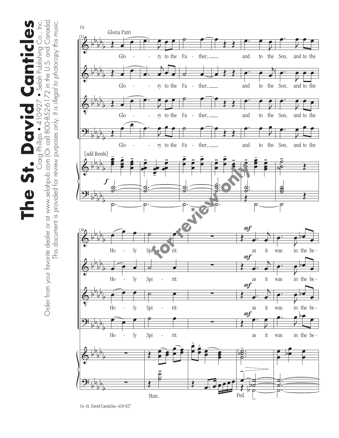Canticles Craig Phillips ● 410-927 ● Selah Publishing Co., Inc.<br>Order from your favorite dealer or at www.selahpub.com (Or call 800-852-6172 in the U.S. and Canada) Order from your favorite dealer or at www.selahpub.com (Or call 800-852-6172 in the U.S. and Canada) **The St. David Canticles** Craig Phillips • 410-927 • Selah Publishing Co., Inc. This document is provided for review purposes only. It is illegal to photocopy this music. This document is provided for review purposes only. *It is illegal to photocopy this music.* The St. David



<sup>14–</sup>St. David Canticles–410-927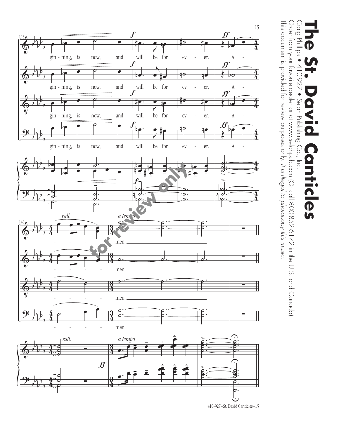

Craig Phillips • 410-927 • Selah Publishing Co., Inc. **The St. David Canticles Hicles** 

Craig Phillips • 410-927 • Selah Publishing Co., Inc.<br>Order from your favorite dealer or at www.selahpub.com (Or call 800-852-6172 in the U.S. and Canada)<br>चाता पा This document is provided for review purposes only. It is illegal to photocopy this music. This document is provided for review purposes only. Order from your favorite dealer or at www.selahpub.com (Or call 800-852-6172 in the U.S. and Canada) *It is illegal to photocopy this music.*

410-927–St. David Canticles–15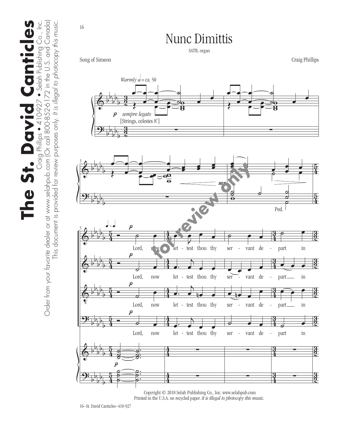The St. David Canticles **The St. David Canticles** Craig Phillips • 410-927 • Selah Publishing Co., Inc.

Craig Philips ● 410-927 ● Selah Publishing Co., Inc.<br>Order from your favorite dealer or at www.selahpub.com (Or call 800-852-6172 in the U.S. and Canada) Order from your favorite dealer or at www.selahpub.com (Or call 800-852-6172 in the U.S. and Canada) This document is provided for review purposes only. It is illegal to photocopy this music. This document is provided for review purposes only. *It is illegal to photocopy this music.*

16



Nunc Dimittis

Copyright © 2018 Selah Publishing Co., Inc. www.selahpub.com Printed in the U.S.A. on recycled paper. *It is illegal to photocopy this music.*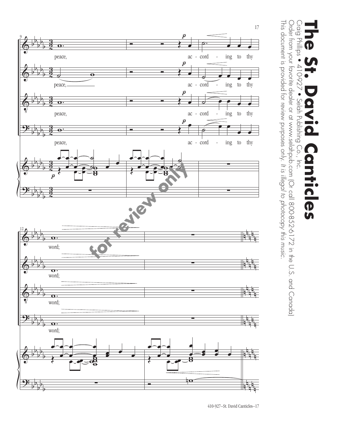

This document is provided for review purposes only.

This document is provided for review purposes only. It is illegal to photocopy this music.

Order from your favorite dealer or at www.selahpub.com (Or call 800-852-6172 in the U.S. and Canada)

Order from your favorite dealer or at www.selahpub.com (Or call 800-852-6172 in the U.S. and Canada)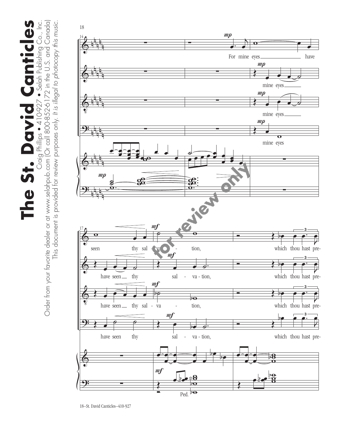$\prod_{\text{Order from your favorite dealer or at www.selchpub.com (Or call 800-852-6172 in the U.S. and Canada)} \prod_{\text{Order from your favorite dealer or at www.selchpub.com (Or call 800-852-6172 in the U.S. and Canada)}}$ Order from your favorite dealer or at www.selahpub.com (Or call 800-852-6172 in the U.S. and Canada) **The St. David Canticles** Craig Phillips • 410-927 • Selah Publishing Co., Inc. This document is provided for review purposes only. It is illegal to photocopy this music. This document is provided for review purposes only. *It is illegal to photocopy this music.*

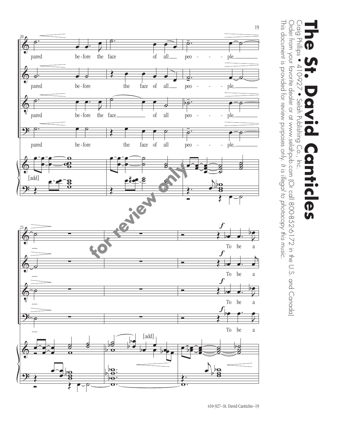

 $\begin{array}{c} 0.01 \\ -0.01 \\ -0.01 \end{array}$ Craig Phillips • 410-927 • Selah Publishing Co., Inc. **The St. David Canticles Phillips**  $\bullet$ 410-927  $\bullet$ Selah Publishing Co.,  $\overline{5}$ **Hicles** 

This document is provided for review purposes only.

This document is provided for review purposes only. It is illegal to photocopy this music.

Order from your favorite dealer or at www.selahpub.com (Or call 800-852-6172 in the U.S. and Canada)

Order from your favorite dealer or at www.selahpub.com (Or call 800-852-6172 in the U.S. and Canada)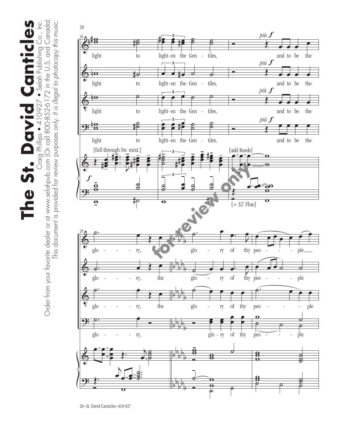The St. David Canticles Craig Phillips ● 410-927 ● Selah Publishing Co., Inc.<br>Order from your favorite dealer or at www.selahpub.com (Or call 800-852-6172 in the U.S. and Canada) Order from your favorite dealer or at www.selahpub.com (Or call 800-852-6172 in the U.S. and Canada) **The St. David Canticles** Craig Phillips • 410-927 • Selah Publishing Co., Inc. This document is provided for review purposes only. It is illegal to photocopy this music. This document is provided for review purposes only. *It is illegal to photocopy this music.*

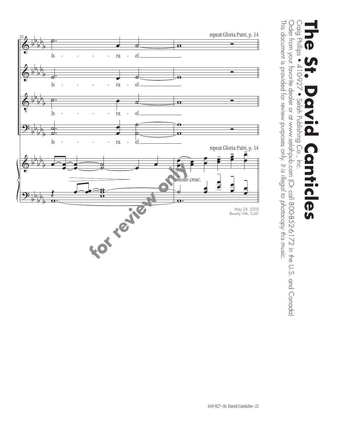

32

### Craig Phillips Craig Phillips • 410-927 • Selah Publishing Co., Inc. **The St. David Canticles**  $\bullet$ 410-927 • Selah Publishing Co., Canticles  $\overline{\overline{5}}$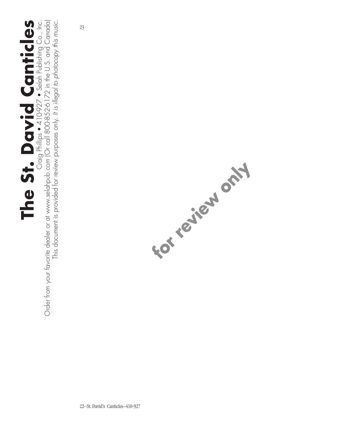# **The St. David Canticles**

 $\prod_{\text{Order from your favorite dealer or at www.selchpub.com (Or call 800-852 $2\cdot6172$  in the U.S. and Canada)} \prod_{\text{Order from your favorite dealer or at www.selchpub.com (Or call 800-852 $6172$  in the U.S. and Canada)}$ Order from your favorite dealer or at www.selahpub.com (Or call 800-852-6172 in the U.S. and Canada) Craig Phillips • 410-927 • Selah Publishing Co., Inc. This document is provided for review purposes only. It is illegal to photocopy this music. This document is provided for review purposes only. *It is illegal to photocopy this music.*

23

FOT TO JOIN OF THE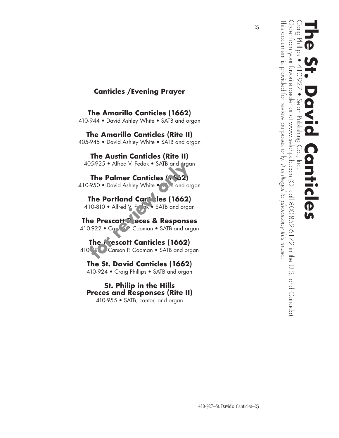

This document is provided for review purposes only.

This document is provided for review purposes only. It is illegal to photocopy this music.

23

*It is illegal to photocopy this music.*

#### **Canticles /Evening Prayer**

**The Amarillo Canticles (1662)** 410-944 • David Ashley White • SATB and organ

**The Amarillo Canticles (Rite II)** 405-945 • David Ashley White • SATB and organ

**The Austin Canticles (Rite II)** 405-925 • Alfred V. Fedak • SATB and organ

**The Palmer Canticles (1662)** 410-950 • David Ashley White • SATB and organ

**The Portland Canticles (1662)** 410-810 • Alfred V. Fedak • SATB and organ

**The Prescott Preces & Responses** 410-922 • Cars o.P. Cooman • SATB and organ

**The Prescott Canticles (1662)** 410<sup>-92</sup> • Carson P. Cooman • SATB and organ

**The St. David Canticles (1662)** 410-924 • Craig Phillips • SATB and organ

**St. Philip in the Hills Preces and Responses (Rite II)** 410-955 • SATB, cantor, and organ